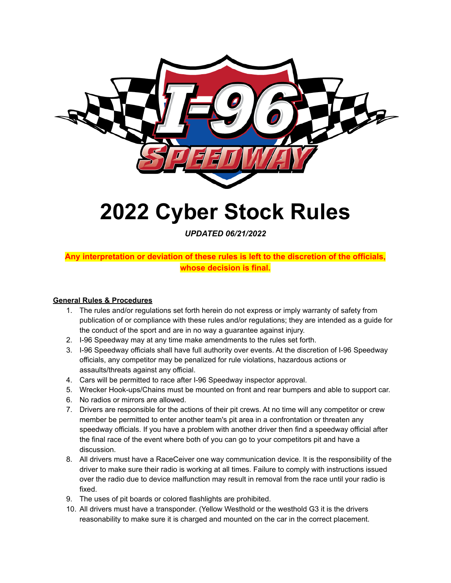

# **2022 Cyber Stock Rules**

*UPDATED 06/21/2022*

# **Any interpretation or deviation of these rules is left to the discretion of the officials, whose decision is final.**

# **General Rules & Procedures**

- 1. The rules and/or regulations set forth herein do not express or imply warranty of safety from publication of or compliance with these rules and/or regulations; they are intended as a guide for the conduct of the sport and are in no way a guarantee against injury.
- 2. I-96 Speedway may at any time make amendments to the rules set forth.
- 3. I-96 Speedway officials shall have full authority over events. At the discretion of I-96 Speedway officials, any competitor may be penalized for rule violations, hazardous actions or assaults/threats against any official.
- 4. Cars will be permitted to race after I-96 Speedway inspector approval.
- 5. Wrecker Hook-ups/Chains must be mounted on front and rear bumpers and able to support car.
- 6. No radios or mirrors are allowed.
- 7. Drivers are responsible for the actions of their pit crews. At no time will any competitor or crew member be permitted to enter another team's pit area in a confrontation or threaten any speedway officials. If you have a problem with another driver then find a speedway official after the final race of the event where both of you can go to your competitors pit and have a discussion.
- 8. All drivers must have a RaceCeiver one way communication device. It is the responsibility of the driver to make sure their radio is working at all times. Failure to comply with instructions issued over the radio due to device malfunction may result in removal from the race until your radio is fixed.
- 9. The uses of pit boards or colored flashlights are prohibited.
- 10. All drivers must have a transponder. (Yellow Westhold or the westhold G3 it is the drivers reasonability to make sure it is charged and mounted on the car in the correct placement.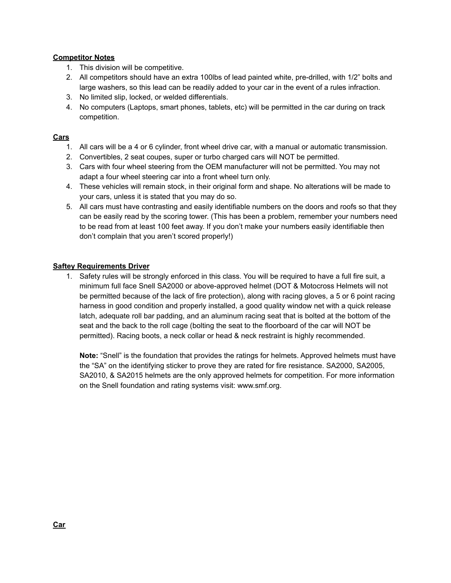# **Competitor Notes**

- 1. This division will be competitive.
- 2. All competitors should have an extra 100lbs of lead painted white, pre-drilled, with 1/2" bolts and large washers, so this lead can be readily added to your car in the event of a rules infraction.
- 3. No limited slip, locked, or welded differentials.
- 4. No computers (Laptops, smart phones, tablets, etc) will be permitted in the car during on track competition.

# **Cars**

- 1. All cars will be a 4 or 6 cylinder, front wheel drive car, with a manual or automatic transmission.
- 2. Convertibles, 2 seat coupes, super or turbo charged cars will NOT be permitted.
- 3. Cars with four wheel steering from the OEM manufacturer will not be permitted. You may not adapt a four wheel steering car into a front wheel turn only.
- 4. These vehicles will remain stock, in their original form and shape. No alterations will be made to your cars, unless it is stated that you may do so.
- 5. All cars must have contrasting and easily identifiable numbers on the doors and roofs so that they can be easily read by the scoring tower. (This has been a problem, remember your numbers need to be read from at least 100 feet away. If you don't make your numbers easily identifiable then don't complain that you aren't scored properly!)

# **Saftey Requirements Driver**

1. Safety rules will be strongly enforced in this class. You will be required to have a full fire suit, a minimum full face Snell SA2000 or above-approved helmet (DOT & Motocross Helmets will not be permitted because of the lack of fire protection), along with racing gloves, a 5 or 6 point racing harness in good condition and properly installed, a good quality window net with a quick release latch, adequate roll bar padding, and an aluminum racing seat that is bolted at the bottom of the seat and the back to the roll cage (bolting the seat to the floorboard of the car will NOT be permitted). Racing boots, a neck collar or head & neck restraint is highly recommended.

**Note:** "Snell" is the foundation that provides the ratings for helmets. Approved helmets must have the "SA" on the identifying sticker to prove they are rated for fire resistance. SA2000, SA2005, SA2010, & SA2015 helmets are the only approved helmets for competition. For more information on the Snell foundation and rating systems visit: www.smf.org.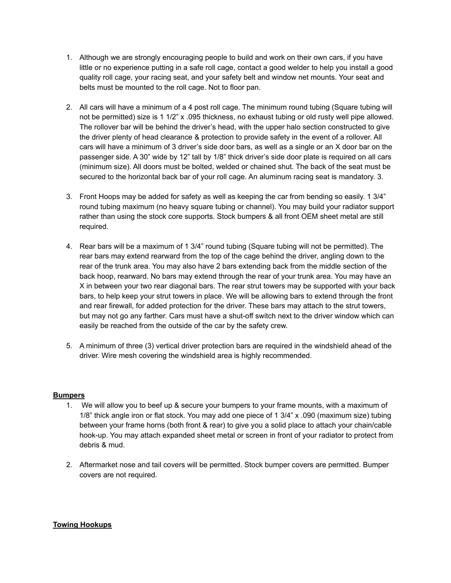- 1. Although we are strongly encouraging people to build and work on their own cars, if you have little or no experience putting in a safe roll cage, contact a good welder to help you install a good quality roll cage, your racing seat, and your safety belt and window net mounts. Your seat and belts must be mounted to the roll cage. Not to floor pan.
- 2. All cars will have a minimum of a 4 post roll cage. The minimum round tubing (Square tubing will not be permitted) size is 1 1/2" x .095 thickness, no exhaust tubing or old rusty well pipe allowed. The rollover bar will be behind the driver's head, with the upper halo section constructed to give the driver plenty of head clearance & protection to provide safety in the event of a rollover. All cars will have a minimum of 3 driver's side door bars, as well as a single or an X door bar on the passenger side. A 30" wide by 12" tall by 1/8" thick driver's side door plate is required on all cars (minimum size). All doors must be bolted, welded or chained shut. The back of the seat must be secured to the horizontal back bar of your roll cage. An aluminum racing seat is mandatory. 3.
- 3. Front Hoops may be added for safety as well as keeping the car from bending so easily. 1 3/4" round tubing maximum (no heavy square tubing or channel). You may build your radiator support rather than using the stock core supports. Stock bumpers & all front OEM sheet metal are still required.
- 4. Rear bars will be a maximum of 1 3/4" round tubing (Square tubing will not be permitted). The rear bars may extend rearward from the top of the cage behind the driver, angling down to the rear of the trunk area. You may also have 2 bars extending back from the middle section of the back hoop, rearward. No bars may extend through the rear of your trunk area. You may have an X in between your two rear diagonal bars. The rear strut towers may be supported with your back bars, to help keep your strut towers in place. We will be allowing bars to extend through the front and rear firewall, for added protection for the driver. These bars may attach to the strut towers, but may not go any farther. Cars must have a shut-off switch next to the driver window which can easily be reached from the outside of the car by the safety crew.
- 5. A minimum of three (3) vertical driver protection bars are required in the windshield ahead of the driver. Wire mesh covering the windshield area is highly recommended.

#### **Bumpers**

- 1. We will allow you to beef up & secure your bumpers to your frame mounts, with a maximum of 1/8" thick angle iron or flat stock. You may add one piece of 1 3/4" x .090 (maximum size) tubing between your frame horns (both front & rear) to give you a solid place to attach your chain/cable hook-up. You may attach expanded sheet metal or screen in front of your radiator to protect from debris & mud.
- 2. Aftermarket nose and tail covers will be permitted. Stock bumper covers are permitted. Bumper covers are not required.

# **Towing Hookups**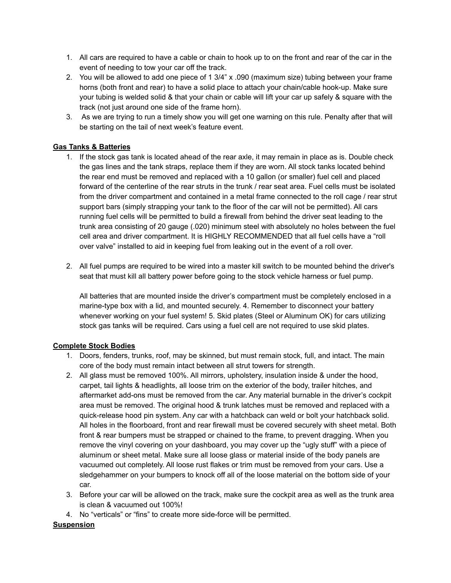- 1. All cars are required to have a cable or chain to hook up to on the front and rear of the car in the event of needing to tow your car off the track.
- 2. You will be allowed to add one piece of 1 3/4" x .090 (maximum size) tubing between your frame horns (both front and rear) to have a solid place to attach your chain/cable hook-up. Make sure your tubing is welded solid & that your chain or cable will lift your car up safely & square with the track (not just around one side of the frame horn).
- 3. As we are trying to run a timely show you will get one warning on this rule. Penalty after that will be starting on the tail of next week's feature event.

# **Gas Tanks & Batteries**

- 1. If the stock gas tank is located ahead of the rear axle, it may remain in place as is. Double check the gas lines and the tank straps, replace them if they are worn. All stock tanks located behind the rear end must be removed and replaced with a 10 gallon (or smaller) fuel cell and placed forward of the centerline of the rear struts in the trunk / rear seat area. Fuel cells must be isolated from the driver compartment and contained in a metal frame connected to the roll cage / rear strut support bars (simply strapping your tank to the floor of the car will not be permitted). All cars running fuel cells will be permitted to build a firewall from behind the driver seat leading to the trunk area consisting of 20 gauge (.020) minimum steel with absolutely no holes between the fuel cell area and driver compartment. It is HIGHLY RECOMMENDED that all fuel cells have a "roll over valve" installed to aid in keeping fuel from leaking out in the event of a roll over.
- 2. All fuel pumps are required to be wired into a master kill switch to be mounted behind the driver's seat that must kill all battery power before going to the stock vehicle harness or fuel pump.

All batteries that are mounted inside the driver's compartment must be completely enclosed in a marine-type box with a lid, and mounted securely. 4. Remember to disconnect your battery whenever working on your fuel system! 5. Skid plates (Steel or Aluminum OK) for cars utilizing stock gas tanks will be required. Cars using a fuel cell are not required to use skid plates.

# **Complete Stock Bodies**

- 1. Doors, fenders, trunks, roof, may be skinned, but must remain stock, full, and intact. The main core of the body must remain intact between all strut towers for strength.
- 2. All glass must be removed 100%. All mirrors, upholstery, insulation inside & under the hood, carpet, tail lights & headlights, all loose trim on the exterior of the body, trailer hitches, and aftermarket add-ons must be removed from the car. Any material burnable in the driver's cockpit area must be removed. The original hood & trunk latches must be removed and replaced with a quick-release hood pin system. Any car with a hatchback can weld or bolt your hatchback solid. All holes in the floorboard, front and rear firewall must be covered securely with sheet metal. Both front & rear bumpers must be strapped or chained to the frame, to prevent dragging. When you remove the vinyl covering on your dashboard, you may cover up the "ugly stuff" with a piece of aluminum or sheet metal. Make sure all loose glass or material inside of the body panels are vacuumed out completely. All loose rust flakes or trim must be removed from your cars. Use a sledgehammer on your bumpers to knock off all of the loose material on the bottom side of your car.
- 3. Before your car will be allowed on the track, make sure the cockpit area as well as the trunk area is clean & vacuumed out 100%!
- 4. No "verticals" or "fins" to create more side-force will be permitted.

# **Suspension**